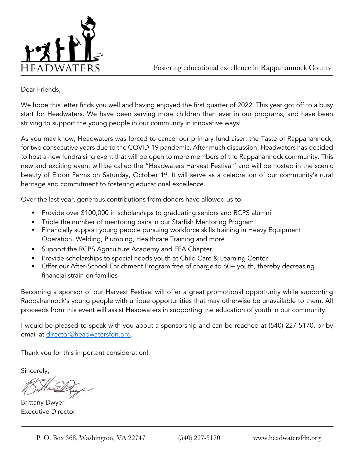

Fostering educational excellence in Rappahannock County

#### Dear Friends,

We hope this letter finds you well and having enjoyed the first quarter of 2022. This year got off to a busy start for Headwaters. We have been serving more children than ever in our programs, and have been striving to support the young people in our community in innovative ways!

As you may know, Headwaters was forced to cancel our primary fundraiser, the Taste of Rappahannock, for two consecutive years due to the COVID-19 pandemic. After much discussion, Headwaters has decided to host a new fundraising event that will be open to more members of the Rappahannock community. This new and exciting event will be called the "Headwaters Harvest Festival" and will be hosted in the scenic beauty of Eldon Farms on Saturday, October 1<sup>st</sup>. It will serve as a celebration of our community's rural heritage and commitment to fostering educational excellence.

Over the last year, generous contributions from donors have allowed us to:

- **•** Provide over \$100,000 in scholarships to graduating seniors and RCPS alumni
- Triple the number of mentoring pairs in our Starfish Mentoring Program
- **•** Financially support young people pursuing workforce skills training in Heavy Equipment Operation, Welding, Plumbing, Healthcare Training and more
- Support the RCPS Agriculture Academy and FFA Chapter
- § Provide scholarships to special needs youth at Child Care & Learning Center
- Offer our After-School Enrichment Program free of charge to 60+ youth, thereby decreasing financial strain on families

Becoming a sponsor of our Harvest Festival will offer a great promotional opportunity while supporting Rappahannock's young people with unique opportunities that may otherwise be unavailable to them. All proceeds from this event will assist Headwaters in supporting the education of youth in our community.

I would be pleased to speak with you about a sponsorship and can be reached at (540) 227-5170, or by email at director@headwatersfdn.org.

Thank you for this important consideration!

Sincerely,

Brittany Dwyer Executive Director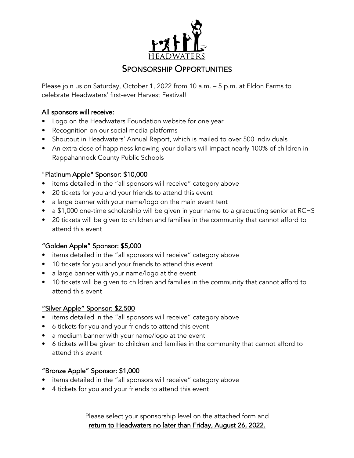

# SPONSORSHIP OPPORTUNITIES

Please join us on Saturday, October 1, 2022 from 10 a.m. – 5 p.m. at Eldon Farms to celebrate Headwaters' first-ever Harvest Festival!

### All sponsors will receive:

- Logo on the Headwaters Foundation website for one year
- Recognition on our social media platforms
- Shoutout in Headwaters' Annual Report, which is mailed to over 500 individuals
- An extra dose of happiness knowing your dollars will impact nearly 100% of children in Rappahannock County Public Schools

# "Platinum Apple" Sponsor: \$10,000

- items detailed in the "all sponsors will receive" category above
- 20 tickets for you and your friends to attend this event
- a large banner with your name/logo on the main event tent
- a \$1,000 one-time scholarship will be given in your name to a graduating senior at RCHS
- 20 tickets will be given to children and families in the community that cannot afford to attend this event

# "Golden Apple" Sponsor: \$5,000

- items detailed in the "all sponsors will receive" category above
- 10 tickets for you and your friends to attend this event
- a large banner with your name/logo at the event
- 10 tickets will be given to children and families in the community that cannot afford to attend this event

#### "Silver Apple" Sponsor: \$2,500

- items detailed in the "all sponsors will receive" category above
- 6 tickets for you and your friends to attend this event
- a medium banner with your name/logo at the event
- 6 tickets will be given to children and families in the community that cannot afford to attend this event

# "Bronze Apple" Sponsor: \$1,000

- items detailed in the "all sponsors will receive" category above
- 4 tickets for you and your friends to attend this event

Please select your sponsorship level on the attached form and return to Headwaters no later than Friday, August 26, 2022.